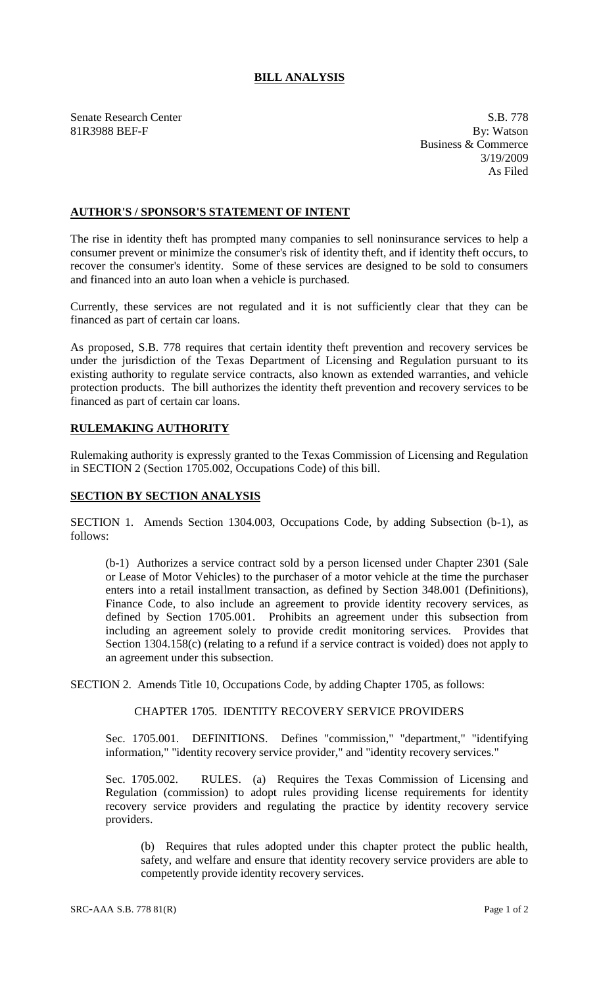# **BILL ANALYSIS**

Senate Research Center S.B. 778<br>
81R3988 BEF-F By: Watson 81R3988 BEF-F

Business & Commerce 3/19/2009 As Filed

#### **AUTHOR'S / SPONSOR'S STATEMENT OF INTENT**

The rise in identity theft has prompted many companies to sell noninsurance services to help a consumer prevent or minimize the consumer's risk of identity theft, and if identity theft occurs, to recover the consumer's identity. Some of these services are designed to be sold to consumers and financed into an auto loan when a vehicle is purchased.

Currently, these services are not regulated and it is not sufficiently clear that they can be financed as part of certain car loans.

As proposed, S.B. 778 requires that certain identity theft prevention and recovery services be under the jurisdiction of the Texas Department of Licensing and Regulation pursuant to its existing authority to regulate service contracts, also known as extended warranties, and vehicle protection products. The bill authorizes the identity theft prevention and recovery services to be financed as part of certain car loans.

# **RULEMAKING AUTHORITY**

Rulemaking authority is expressly granted to the Texas Commission of Licensing and Regulation in SECTION 2 (Section 1705.002, Occupations Code) of this bill.

#### **SECTION BY SECTION ANALYSIS**

SECTION 1. Amends Section 1304.003, Occupations Code, by adding Subsection (b-1), as follows:

(b-1) Authorizes a service contract sold by a person licensed under Chapter 2301 (Sale or Lease of Motor Vehicles) to the purchaser of a motor vehicle at the time the purchaser enters into a retail installment transaction, as defined by Section 348.001 (Definitions), Finance Code, to also include an agreement to provide identity recovery services, as defined by Section 1705.001. Prohibits an agreement under this subsection from including an agreement solely to provide credit monitoring services. Provides that Section 1304.158(c) (relating to a refund if a service contract is voided) does not apply to an agreement under this subsection.

SECTION 2. Amends Title 10, Occupations Code, by adding Chapter 1705, as follows:

### CHAPTER 1705. IDENTITY RECOVERY SERVICE PROVIDERS

Sec. 1705.001. DEFINITIONS. Defines "commission," "department," "identifying information," "identity recovery service provider," and "identity recovery services."

Sec. 1705.002. RULES. (a) Requires the Texas Commission of Licensing and Regulation (commission) to adopt rules providing license requirements for identity recovery service providers and regulating the practice by identity recovery service providers.

(b) Requires that rules adopted under this chapter protect the public health, safety, and welfare and ensure that identity recovery service providers are able to competently provide identity recovery services.